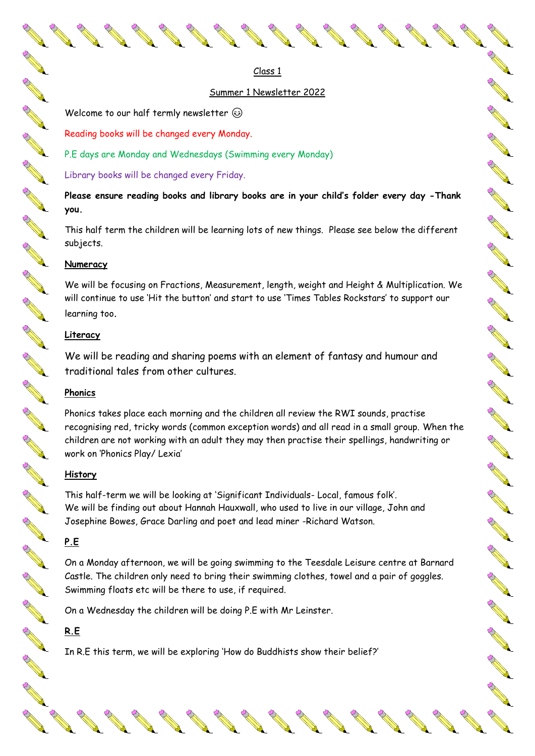Class 1

### Summer 1 Newsletter 2022

All Carpenter

A AND RD

**ANTI** 

**ANTI** 

Control Re

A A R

**RANT** 

No Carpenter

A A R

RA REA

**CONTROLLER** 

A A

RA A

New Read

**Contract Report** 

CONTROLL BY

RANT R

**RANT** 

B ANT

AND P

**ANTI** 

**ANTICOLLECTION** 

**ANTI** 

**Contract Contract Contract Contract Contract Contract Contract Contract Contract Contract Contract Contract Contract Contract Contract Contract Contract Contract Contract Contract Contract Contract Contract Contract Contr** 

Welcome to our half termly newsletter  $\circledcirc$ 

Reading books will be changed every Monday.

P.E days are Monday and Wednesdays (Swimming every Monday)

Library books will be changed every Friday.

**Please ensure reading books and library books are in your child's folder every day -Thank you.**

This half term the children will be learning lots of new things. Please see below the different subjects.

#### **Numeracy**

A RIVER

A March

AND ROAD

AND P

A March

**ANTICATION** 

**ANTICOLOGICAL CONTENTION** 

AN RO

**ANTICOLOGICAL CONTENTION** 

AN C

**ARCHITECTS** 

B Read

B RAY

**ANTICOLOGICAL CONTENTION** 

**ANTICATIONS** 

A March

**ANTICOLOGICAL CONTENTION** 

AND ROOM

A A R

**ANTICOLOGICAL COMPANY** 

**ANTICATIONS** 

A REA

**ANTICOLOGICAL REPORT** 

B Read

AND ROAD

**ANTICATION** 

AND A

**All Contracts** 

We will be focusing on Fractions, Measurement, length, weight and Height & Multiplication. We will continue to use 'Hit the button' and start to use 'Times Tables Rockstars' to support our learning too.

### **Literacy**

We will be reading and sharing poems with an element of fantasy and humour and traditional tales from other cultures.

### **Phonics**

Phonics takes place each morning and the children all review the RWI sounds, practise recognising red, tricky words (common exception words) and all read in a small group. When the children are not working with an adult they may then practise their spellings, handwriting or work on 'Phonics Play/ Lexia'

### **History**

This half-term we will be looking at 'Significant Individuals- Local, famous folk'. We will be finding out about Hannah Hauxwall, who used to live in our village, John and Josephine Bowes, Grace Darling and poet and lead miner -Richard Watson.

### **P.E**

On a Monday afternoon, we will be going swimming to the Teesdale Leisure centre at Barnard Castle. The children only need to bring their swimming clothes, towel and a pair of goggles. Swimming floats etc will be there to use, if required.

On a Wednesday the children will be doing P.E with Mr Leinster.

## **R.E**

In R.E this term, we will be exploring 'How do Buddhists show their belief?'